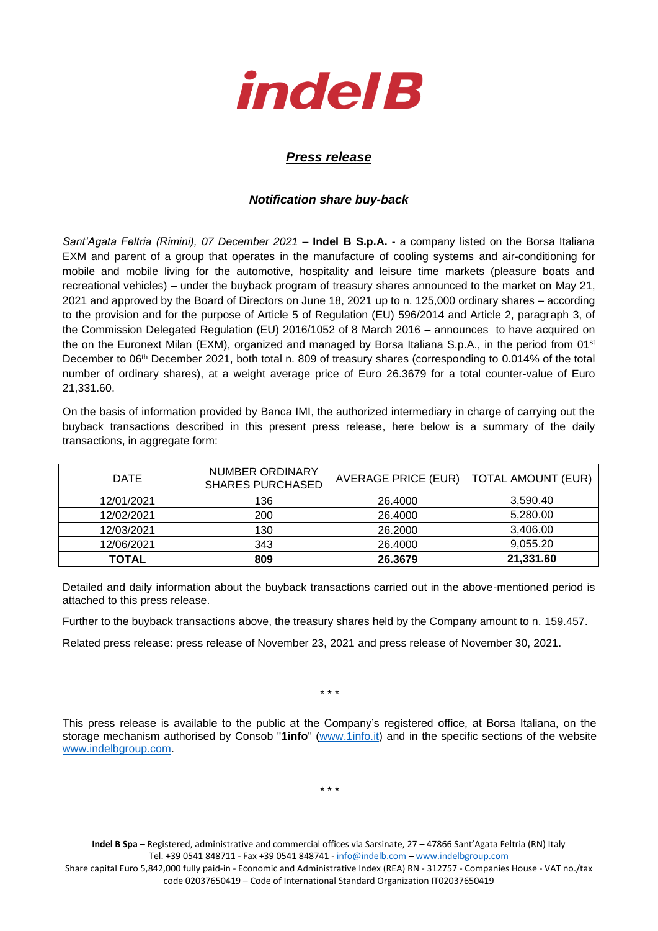

## *Press release*

## *Notification share buy-back*

*Sant'Agata Feltria (Rimini), 07 December 2021* – **Indel B S.p.A.** - a company listed on the Borsa Italiana EXM and parent of a group that operates in the manufacture of cooling systems and air-conditioning for mobile and mobile living for the automotive, hospitality and leisure time markets (pleasure boats and recreational vehicles) – under the buyback program of treasury shares announced to the market on May 21, 2021 and approved by the Board of Directors on June 18, 2021 up to n. 125,000 ordinary shares – according to the provision and for the purpose of Article 5 of Regulation (EU) 596/2014 and Article 2, paragraph 3, of the Commission Delegated Regulation (EU) 2016/1052 of 8 March 2016 – announces to have acquired on the on the Euronext Milan (EXM), organized and managed by Borsa Italiana S.p.A., in the period from 01<sup>st</sup> December to 06th December 2021, both total n. 809 of treasury shares (corresponding to 0.014% of the total number of ordinary shares), at a weight average price of Euro 26.3679 for a total counter-value of Euro 21,331.60.

On the basis of information provided by Banca IMI, the authorized intermediary in charge of carrying out the buyback transactions described in this present press release, here below is a summary of the daily transactions, in aggregate form:

| <b>DATE</b> | NUMBER ORDINARY<br><b>SHARES PURCHASED</b> | AVERAGE PRICE (EUR) | <b>TOTAL AMOUNT (EUR)</b> |
|-------------|--------------------------------------------|---------------------|---------------------------|
| 12/01/2021  | 136                                        | 26,4000             | 3,590.40                  |
| 12/02/2021  | 200                                        | 26,4000             | 5,280.00                  |
| 12/03/2021  | 130                                        | 26,2000             | 3.406.00                  |
| 12/06/2021  | 343                                        | 26,4000             | 9,055.20                  |
| TOTAL       | 809                                        | 26.3679             | 21,331.60                 |

Detailed and daily information about the buyback transactions carried out in the above-mentioned period is attached to this press release.

Further to the buyback transactions above, the treasury shares held by the Company amount to n. 159.457.

Related press release: press release of November 23, 2021 and press release of November 30, 2021.

\* \* \*

This press release is available to the public at the Company's registered office, at Borsa Italiana, on the storage mechanism authorised by Consob "**1info**" [\(www.1info.it\)](file:///C:/Users/ddelietovollaro/AppData/Local/Microsoft/Windows/INetCache/Content.Outlook/T87B94UR/www.1info.it) and in the specific sections of the website [www.indelbgroup.com.](http://www.indelbgroup.com/)

\* \* \*

**Indel B Spa** – Registered, administrative and commercial offices via Sarsinate, 27 – 47866 Sant'Agata Feltria (RN) Italy Tel. +39 0541 848711 - Fax +39 0541 848741 - [info@indelb.com](mailto:info@indelb.com) – [www.indelbgroup.com](http://www.indelbgroup.com/) Share capital Euro 5,842,000 fully paid-in - Economic and Administrative Index (REA) RN - 312757 - Companies House - VAT no./tax code 02037650419 – Code of International Standard Organization IT02037650419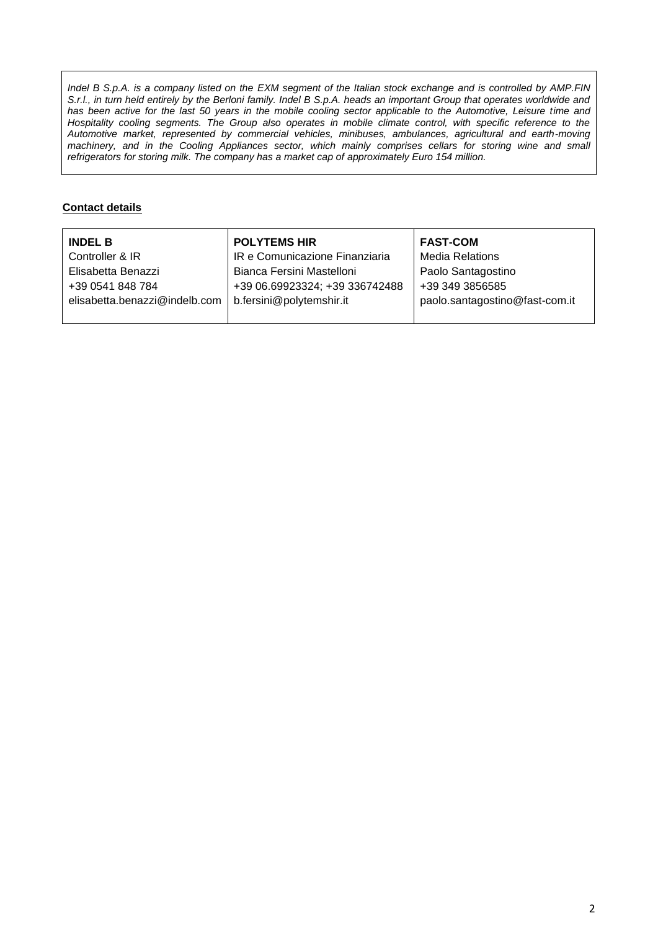*Indel B S.p.A. is a company listed on the EXM segment of the Italian stock exchange and is controlled by AMP.FIN S.r.l., in turn held entirely by the Berloni family. Indel B S.p.A. heads an important Group that operates worldwide and* has been active for the last 50 years in the mobile cooling sector applicable to the Automotive, Leisure time and Hospitality cooling segments. The Group also operates in mobile climate control, with specific reference to the *Automotive market, represented by commercial vehicles, minibuses, ambulances, agricultural and earth-moving machinery, and in the Cooling Appliances sector, which mainly comprises cellars for storing wine and small refrigerators for storing milk. The company has a market cap of approximately Euro 154 million.*

## **Contact details**

| <b>INDEL B</b>                | <b>POLYTEMS HIR</b>            | <b>FAST-COM</b>                |
|-------------------------------|--------------------------------|--------------------------------|
| Controller & IR               | IR e Comunicazione Finanziaria | <b>Media Relations</b>         |
| Elisabetta Benazzi            | Bianca Fersini Mastelloni      | Paolo Santagostino             |
| +39 0541 848 784              | +39 06.69923324; +39 336742488 | +39 349 3856585                |
| elisabetta.benazzi@indelb.com | b.fersini@polytemshir.it       | paolo.santagostino@fast-com.it |
|                               |                                |                                |